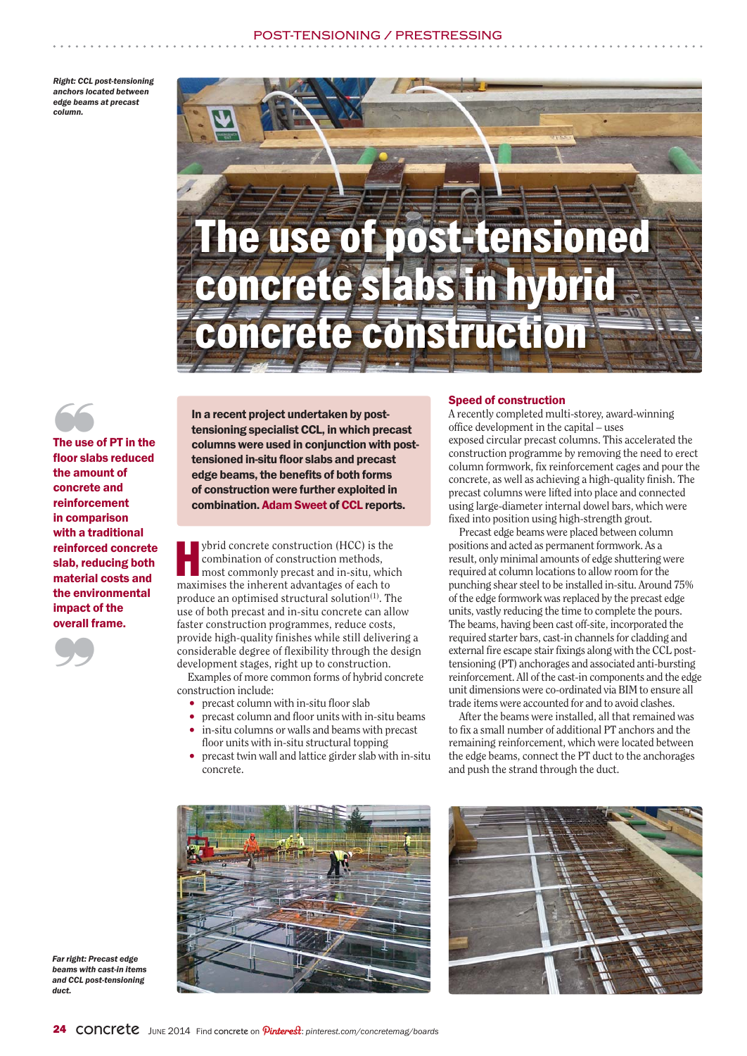# POST-TENSIONING / PRESENT PRESENT

*Right: CCL post-tensioning anchors located between edge beams at precast column.*





 $\begin{array}{c}\n\bullet \\
\bullet \\
\bullet\n\end{array}$ The use of PT in the floor slabs reduced floor slabs reduced the amount of concrete and reinforcement in comparison with a traditional reinforced concrete slab, reducing both material costs and the environmental impact of the overall frame.



In a recent project undertaken by posttensioning specialist CCL, in which precast columns were used in conjunction with posttensioned in-situ floor slabs and precast edge beams, the benefits of both forms of construction were further exploited in combination. Adam Sweet of CCL reports.

whid concrete construction (HCC) is the combination of construction methods, most commonly precast and in-situ, which maximises the inherent advantages of each to combination of construction methods, maximises the inherent advantages of each to produce an optimised structural solution<sup>(1)</sup>. The use of both precast and in-situ concrete can allow faster construction programmes, reduce costs, provide high-quality finishes while still delivering a considerable degree of flexibility through the design development stages, right up to construction.

Examples of more common forms of hybrid concrete construction include:

- precast column with in-situ floor slab
- precast column and floor units with in-situ beams • in-situ columns or walls and beams with precast
- floor units with in-situ structural topping • precast twin wall and lattice girder slab with in-situ concrete.

## Speed of construction

A recently completed multi-storey, award-winning office development in the capital – uses exposed circular precast columns. This accelerated the construction programme by removing the need to erect column formwork, fix reinforcement cages and pour the concrete, as well as achieving a high-quality finish. The precast columns were lifted into place and connected using large-diameter internal dowel bars, which were fixed into position using high-strength grout.

Precast edge beams were placed between column positions and acted as permanent formwork. As a result, only minimal amounts of edge shuttering were required at column locations to allow room for the punching shear steel to be installed in-situ. Around 75% of the edge formwork was replaced by the precast edge units, vastly reducing the time to complete the pours. The beams, having been cast off-site, incorporated the required starter bars, cast-in channels for cladding and external fire escape stair fixings along with the CCL posttensioning (PT) anchorages and associated anti-bursting reinforcement. All of the cast-in components and the edge unit dimensions were co-ordinated via BIM to ensure all trade items were accounted for and to avoid clashes.

After the beams were installed, all that remained was to fix a small number of additional PT anchors and the remaining reinforcement, which were located between the edge beams, connect the PT duct to the anchorages and push the strand through the duct.





*Far right: Precast edge beams with cast-in items and CCL post-tensioning duct.*